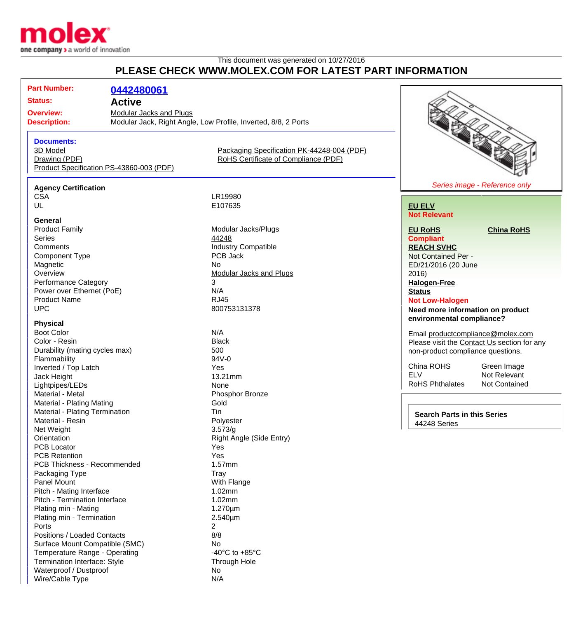

## This document was generated on 10/27/2016 **PLEASE CHECK WWW.MOLEX.COM FOR LATEST PART INFORMATION**

| <b>Part Number:</b>                                                                   | 0442480061                               |                                            |                                             |
|---------------------------------------------------------------------------------------|------------------------------------------|--------------------------------------------|---------------------------------------------|
| <b>Status:</b>                                                                        | <b>Active</b>                            |                                            |                                             |
| <b>Overview:</b>                                                                      | Modular Jacks and Plugs                  |                                            |                                             |
| Modular Jack, Right Angle, Low Profile, Inverted, 8/8, 2 Ports<br><b>Description:</b> |                                          |                                            |                                             |
|                                                                                       |                                          |                                            |                                             |
| <b>Documents:</b>                                                                     |                                          |                                            |                                             |
| 3D Model                                                                              |                                          | Packaging Specification PK-44248-004 (PDF) |                                             |
| Drawing (PDF)                                                                         |                                          | RoHS Certificate of Compliance (PDF)       |                                             |
|                                                                                       | Product Specification PS-43860-003 (PDF) |                                            |                                             |
|                                                                                       |                                          |                                            | Series image - Reference only               |
| <b>Agency Certification</b>                                                           |                                          |                                            |                                             |
| <b>CSA</b>                                                                            |                                          | LR19980                                    |                                             |
| UL                                                                                    |                                          | E107635                                    | <b>EU ELV</b>                               |
| General                                                                               |                                          |                                            | <b>Not Relevant</b>                         |
| <b>Product Family</b>                                                                 |                                          | Modular Jacks/Plugs                        | <b>EU RoHS</b><br><b>China RoHS</b>         |
| <b>Series</b>                                                                         |                                          | 44248                                      | <b>Compliant</b>                            |
| Comments                                                                              |                                          | <b>Industry Compatible</b>                 | <b>REACH SVHC</b>                           |
| <b>Component Type</b>                                                                 |                                          | PCB Jack                                   | Not Contained Per -                         |
| Magnetic                                                                              |                                          | <b>No</b>                                  | ED/21/2016 (20 June                         |
| Overview                                                                              |                                          | <b>Modular Jacks and Plugs</b>             | 2016                                        |
| <b>Performance Category</b>                                                           |                                          | 3                                          | <b>Halogen-Free</b>                         |
| Power over Ethernet (PoE)                                                             |                                          | N/A                                        | <b>Status</b>                               |
| <b>Product Name</b>                                                                   |                                          | <b>RJ45</b>                                | <b>Not Low-Halogen</b>                      |
| <b>UPC</b>                                                                            |                                          | 800753131378                               | Need more information on product            |
| <b>Physical</b>                                                                       |                                          |                                            | environmental compliance?                   |
| <b>Boot Color</b>                                                                     |                                          | N/A                                        |                                             |
| Color - Resin                                                                         |                                          | <b>Black</b>                               | Email productcompliance@molex.com           |
| Durability (mating cycles max)                                                        |                                          | 500                                        | Please visit the Contact Us section for any |
|                                                                                       |                                          |                                            | non-product compliance questions.           |

China ROHS<br>ELV Mot Relevant Not Relevant<br>Not Contained RoHS Phthalates

**Search Parts in this Series** [44248](http://www.molex.com/molex/products/listview.jsp?query=44248&sType=s) Series

Flammability 94V-0 Inverted / Top Latch Yes Jack Height **13.21mm** Lightpipes/LEDs None Material - Metal **Phosphor Bronze** Material - Plating Mating Gold Material - Plating Termination<br>
Material - Resin<br>
Material - Resin Material - Resin Net Weight 3.573/g<br>
Orientation 3.573/g<br>
Chientation 3.573/g PCB Locator **Yes** PCB Retention The Contract of the Contract of the Contract of the Vesting of the Vesting of the Vesting of the Vesting of the Vesting of the Vesting of the Vesting of the Vesting of the Vesting of the Vesting of the Vestin PCB Thickness - Recommended 1.57mm Packaging Type Tray Tray<br>
Panel Mount Tray Nuth Flange Panel Mount Pitch - Mating Interface 1.02mm Pitch - Termination Interface 1.02mm Plating min - Mating 1.270um Plating min - Termination 2.540µm Ports 2 Positions / Loaded Contacts 8/8 Surface Mount Compatible (SMC)<br>
Temperature Range - Operating<br>
All the Contract of A0°C to +85°C Temperature Range - Operating<br>
Termination Interface: Style<br>
Through Hole Termination Interface: Style Waterproof / Dustproof  $\overline{\phantom{a}}$ Wire/Cable Type N/A

Right Angle (Side Entry)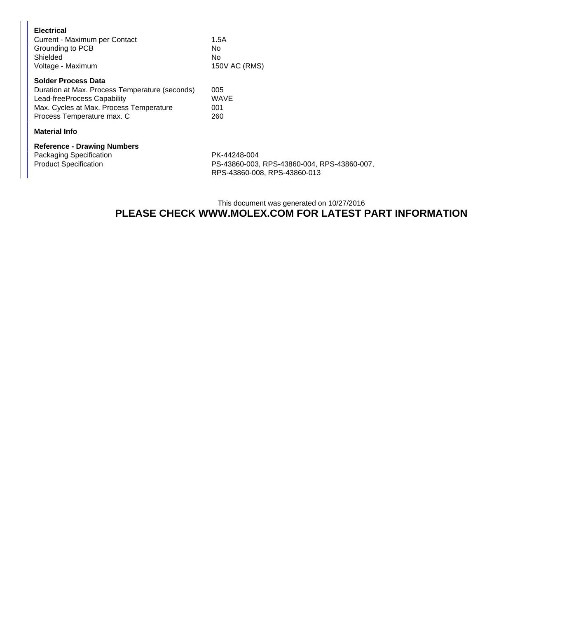| <b>Electrical</b><br>Current - Maximum per Contact<br>Grounding to PCB<br>Shielded<br>Voltage - Maximum                                                                              | 1.5A<br>No<br>No<br>150V AC (RMS) |  |  |  |
|--------------------------------------------------------------------------------------------------------------------------------------------------------------------------------------|-----------------------------------|--|--|--|
| <b>Solder Process Data</b><br>Duration at Max. Process Temperature (seconds)<br>Lead-freeProcess Capability<br>Max. Cycles at Max. Process Temperature<br>Process Temperature max. C | 005<br>WAVE<br>001<br>260         |  |  |  |
| <b>Material Info</b>                                                                                                                                                                 |                                   |  |  |  |

**Reference - Drawing Numbers** Packaging Specification PK-44248-004<br>Product Specification PS-43860-003,

PS-43860-003, RPS-43860-004, RPS-43860-007, RPS-43860-008, RPS-43860-013

## This document was generated on 10/27/2016 **PLEASE CHECK WWW.MOLEX.COM FOR LATEST PART INFORMATION**